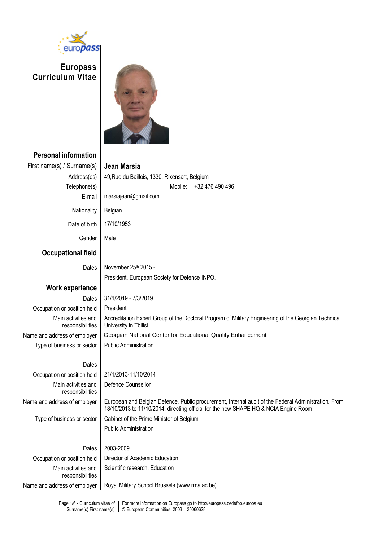

**Europass Curriculum Vitae**



# **Personal information** First name(s) / Surname(s) **Jean Marsia** Address(es) | 49, Rue du Baillois, 1330, Rixensart, Belgium Telephone(s) Mobile: +32 476 490 496 E-mail marsiajean@gmail.com Nationality | Belgian Date of birth 17/10/1953 Gender | Male **Occupational field** Dates | November 25<sup>th</sup> 2015 -President, European Society for Defence INPO. **Work experience** Dates 31/1/2019 - 7/3/2019 Occupation or position held | President Main activities and responsibilities Accreditation Expert Group of the Doctoral Program of Military Engineering of the Georgian Technical University in Tbilisi. Name and address of employer Georgian National Center for Educational Quality Enhancement Type of business or sector  $\vert$  Public Administration **Dates** Occupation or position held 21/1/2013-11/10/2014 Main activities and responsibilities Defence Counsellor Name and address of employer | European and Belgian Defence, Public procurement, Internal audit of the Federal Administration. From 18/10/2013 to 11/10/2014, directing official for the new SHAPE HQ & NCIA Engine Room. Type of business or sector  $\vert$  Cabinet of the Prime Minister of Belgium Public Administration Dates 2003-2009 Occupation or position held | Director of Academic Education Main activities and responsibilities Scientific research, Education Name and address of employer | Royal Military School Brussels (www.rma.ac.be)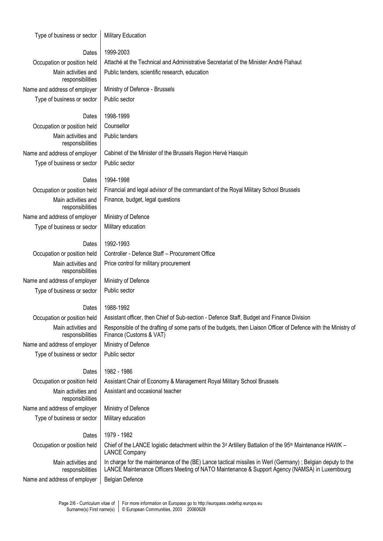| Type of business or sector              | <b>Military Education</b>                                                                                                                                                                                   |  |  |  |
|-----------------------------------------|-------------------------------------------------------------------------------------------------------------------------------------------------------------------------------------------------------------|--|--|--|
| Dates                                   | 1999-2003                                                                                                                                                                                                   |  |  |  |
| Occupation or position held             | Attaché at the Technical and Administrative Secretariat of the Minister André Flahaut                                                                                                                       |  |  |  |
| Main activities and<br>responsibilities | Public tenders, scientific research, education                                                                                                                                                              |  |  |  |
| Name and address of employer            | Ministry of Defence - Brussels                                                                                                                                                                              |  |  |  |
| Type of business or sector              | Public sector                                                                                                                                                                                               |  |  |  |
| Dates                                   | 1998-1999                                                                                                                                                                                                   |  |  |  |
| Occupation or position held             | Counsellor                                                                                                                                                                                                  |  |  |  |
| Main activities and<br>responsibilities | Public tenders                                                                                                                                                                                              |  |  |  |
| Name and address of employer            | Cabinet of the Minister of the Brussels Region Hervé Hasquin                                                                                                                                                |  |  |  |
| Type of business or sector              | Public sector                                                                                                                                                                                               |  |  |  |
| Dates                                   | 1994-1998                                                                                                                                                                                                   |  |  |  |
| Occupation or position held             | Financial and legal advisor of the commandant of the Royal Military School Brussels                                                                                                                         |  |  |  |
| Main activities and<br>responsibilities | Finance, budget, legal questions                                                                                                                                                                            |  |  |  |
| Name and address of employer            | Ministry of Defence                                                                                                                                                                                         |  |  |  |
| Type of business or sector              | Military education                                                                                                                                                                                          |  |  |  |
| Dates                                   | 1992-1993                                                                                                                                                                                                   |  |  |  |
| Occupation or position held             | Controller - Defence Staff - Procurement Office                                                                                                                                                             |  |  |  |
| Main activities and<br>responsibilities | Price control for military procurement                                                                                                                                                                      |  |  |  |
| Name and address of employer            | Ministry of Defence                                                                                                                                                                                         |  |  |  |
| Type of business or sector              | Public sector                                                                                                                                                                                               |  |  |  |
| Dates                                   | 1988-1992                                                                                                                                                                                                   |  |  |  |
| Occupation or position held             | Assistant officer, then Chief of Sub-section - Defence Staff, Budget and Finance Division                                                                                                                   |  |  |  |
| Main activities and<br>responsibilities | Responsible of the drafting of some parts of the budgets, then Liaison Officer of Defence with the Ministry of<br>Finance (Customs & VAT)                                                                   |  |  |  |
| Name and address of employer            | Ministry of Defence                                                                                                                                                                                         |  |  |  |
| Type of business or sector              | Public sector                                                                                                                                                                                               |  |  |  |
| Dates                                   | 1982 - 1986                                                                                                                                                                                                 |  |  |  |
| Occupation or position held             | Assistant Chair of Economy & Management Royal Military School Brussels                                                                                                                                      |  |  |  |
| Main activities and<br>responsibilities | Assistant and occasional teacher                                                                                                                                                                            |  |  |  |
| Name and address of employer            | Ministry of Defence                                                                                                                                                                                         |  |  |  |
| Type of business or sector              | Military education                                                                                                                                                                                          |  |  |  |
| Dates                                   | 1979 - 1982                                                                                                                                                                                                 |  |  |  |
| Occupation or position held             | Chief of the LANCE logistic detachment within the 3 <sup>d</sup> Artillery Battalion of the 95 <sup>th</sup> Maintenance HAWK -<br><b>LANCE Company</b>                                                     |  |  |  |
| Main activities and<br>responsibilities | In charge for the maintenance of the (BE) Lance tactical missiles in Werl (Germany); Belgian deputy to the<br>LANCE Maintenance Officers Meeting of NATO Maintenance & Support Agency (NAMSA) in Luxembourg |  |  |  |

Page 2/6 - Curriculum vitae of Surname(s) First name(s) For more information on Europass go to http://europass.cedefop.europa.eu © European Communities, 2003 20060628

Name and address of employer  $\Big|$  Belgian Defence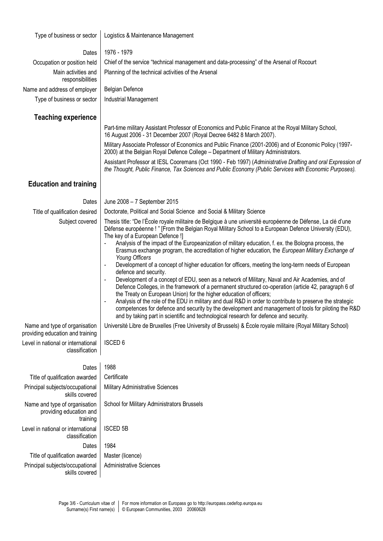| Type of business or sector                                                           | Logistics & Maintenance Management                                                                                                                                                                                                                                                                                                                                                                                                                                                                                                                                                                                                                                                                                                                                                                                                                                                                                                                                                                                                                                                                                                                                                                                                                                                                                                                                            |  |  |  |  |  |
|--------------------------------------------------------------------------------------|-------------------------------------------------------------------------------------------------------------------------------------------------------------------------------------------------------------------------------------------------------------------------------------------------------------------------------------------------------------------------------------------------------------------------------------------------------------------------------------------------------------------------------------------------------------------------------------------------------------------------------------------------------------------------------------------------------------------------------------------------------------------------------------------------------------------------------------------------------------------------------------------------------------------------------------------------------------------------------------------------------------------------------------------------------------------------------------------------------------------------------------------------------------------------------------------------------------------------------------------------------------------------------------------------------------------------------------------------------------------------------|--|--|--|--|--|
| Dates                                                                                | 1976 - 1979                                                                                                                                                                                                                                                                                                                                                                                                                                                                                                                                                                                                                                                                                                                                                                                                                                                                                                                                                                                                                                                                                                                                                                                                                                                                                                                                                                   |  |  |  |  |  |
| Occupation or position held                                                          | Chief of the service "technical management and data-processing" of the Arsenal of Rocourt                                                                                                                                                                                                                                                                                                                                                                                                                                                                                                                                                                                                                                                                                                                                                                                                                                                                                                                                                                                                                                                                                                                                                                                                                                                                                     |  |  |  |  |  |
| Main activities and<br>responsibilities                                              | Planning of the technical activities of the Arsenal                                                                                                                                                                                                                                                                                                                                                                                                                                                                                                                                                                                                                                                                                                                                                                                                                                                                                                                                                                                                                                                                                                                                                                                                                                                                                                                           |  |  |  |  |  |
| Name and address of employer                                                         | <b>Belgian Defence</b>                                                                                                                                                                                                                                                                                                                                                                                                                                                                                                                                                                                                                                                                                                                                                                                                                                                                                                                                                                                                                                                                                                                                                                                                                                                                                                                                                        |  |  |  |  |  |
| Type of business or sector                                                           | Industrial Management                                                                                                                                                                                                                                                                                                                                                                                                                                                                                                                                                                                                                                                                                                                                                                                                                                                                                                                                                                                                                                                                                                                                                                                                                                                                                                                                                         |  |  |  |  |  |
| <b>Teaching experience</b>                                                           |                                                                                                                                                                                                                                                                                                                                                                                                                                                                                                                                                                                                                                                                                                                                                                                                                                                                                                                                                                                                                                                                                                                                                                                                                                                                                                                                                                               |  |  |  |  |  |
|                                                                                      | Part-time military Assistant Professor of Economics and Public Finance at the Royal Military School,<br>16 August 2006 - 31 December 2007 (Royal Decree 6482 8 March 2007).                                                                                                                                                                                                                                                                                                                                                                                                                                                                                                                                                                                                                                                                                                                                                                                                                                                                                                                                                                                                                                                                                                                                                                                                   |  |  |  |  |  |
|                                                                                      | Military Associate Professor of Economics and Public Finance (2001-2006) and of Economic Policy (1997-<br>2000) at the Belgian Royal Defence College - Department of Military Administrators.                                                                                                                                                                                                                                                                                                                                                                                                                                                                                                                                                                                                                                                                                                                                                                                                                                                                                                                                                                                                                                                                                                                                                                                 |  |  |  |  |  |
|                                                                                      | Assistant Professor at IESL Cooremans (Oct 1990 - Feb 1997) (Administrative Drafting and oral Expression of<br>the Thought, Public Finance, Tax Sciences and Public Economy (Public Services with Economic Purposes).                                                                                                                                                                                                                                                                                                                                                                                                                                                                                                                                                                                                                                                                                                                                                                                                                                                                                                                                                                                                                                                                                                                                                         |  |  |  |  |  |
| <b>Education and training</b>                                                        |                                                                                                                                                                                                                                                                                                                                                                                                                                                                                                                                                                                                                                                                                                                                                                                                                                                                                                                                                                                                                                                                                                                                                                                                                                                                                                                                                                               |  |  |  |  |  |
| Dates                                                                                | June 2008 - 7 September 2015                                                                                                                                                                                                                                                                                                                                                                                                                                                                                                                                                                                                                                                                                                                                                                                                                                                                                                                                                                                                                                                                                                                                                                                                                                                                                                                                                  |  |  |  |  |  |
| Title of qualification desired                                                       | Doctorate, Political and Social Science and Social & Military Science                                                                                                                                                                                                                                                                                                                                                                                                                                                                                                                                                                                                                                                                                                                                                                                                                                                                                                                                                                                                                                                                                                                                                                                                                                                                                                         |  |  |  |  |  |
| Subject covered<br>Name and type of organisation<br>providing education and training | Thesis title: "De l'École royale militaire de Belgique à une université européenne de Défense, La clé d'une<br>Défense européenne ! " [From the Belgian Royal Military School to a European Defence University (EDU),<br>The key of a European Defence !]<br>Analysis of the impact of the Europeanization of military education, f. ex. the Bologna process, the<br>Erasmus exchange program, the accreditation of higher education, the European Military Exchange of<br>Young Officers<br>Development of a concept of higher education for officers, meeting the long-term needs of European<br>$\blacksquare$<br>defence and security.<br>Development of a concept of EDU, seen as a network of Military, Naval and Air Academies, and of<br>$\blacksquare$<br>Defence Colleges, in the framework of a permanent structured co-operation (article 42, paragraph 6 of<br>the Treaty on European Union) for the higher education of officers;<br>Analysis of the role of the EDU in military and dual R&D in order to contribute to preserve the strategic<br>competences for defence and security by the development and management of tools for piloting the R&D<br>and by taking part in scientific and technological research for defence and security.<br>Université Libre de Bruxelles (Free University of Brussels) & École royale militaire (Royal Military School) |  |  |  |  |  |
| Level in national or international<br>classification                                 | <b>ISCED 6</b>                                                                                                                                                                                                                                                                                                                                                                                                                                                                                                                                                                                                                                                                                                                                                                                                                                                                                                                                                                                                                                                                                                                                                                                                                                                                                                                                                                |  |  |  |  |  |
| Dates                                                                                | 1988                                                                                                                                                                                                                                                                                                                                                                                                                                                                                                                                                                                                                                                                                                                                                                                                                                                                                                                                                                                                                                                                                                                                                                                                                                                                                                                                                                          |  |  |  |  |  |
| Title of qualification awarded                                                       | Certificate                                                                                                                                                                                                                                                                                                                                                                                                                                                                                                                                                                                                                                                                                                                                                                                                                                                                                                                                                                                                                                                                                                                                                                                                                                                                                                                                                                   |  |  |  |  |  |
| Principal subjects/occupational<br>skills covered                                    | Military Administrative Sciences                                                                                                                                                                                                                                                                                                                                                                                                                                                                                                                                                                                                                                                                                                                                                                                                                                                                                                                                                                                                                                                                                                                                                                                                                                                                                                                                              |  |  |  |  |  |
| Name and type of organisation<br>providing education and<br>training                 | School for Military Administrators Brussels                                                                                                                                                                                                                                                                                                                                                                                                                                                                                                                                                                                                                                                                                                                                                                                                                                                                                                                                                                                                                                                                                                                                                                                                                                                                                                                                   |  |  |  |  |  |
| Level in national or international<br>classification                                 | <b>ISCED 5B</b>                                                                                                                                                                                                                                                                                                                                                                                                                                                                                                                                                                                                                                                                                                                                                                                                                                                                                                                                                                                                                                                                                                                                                                                                                                                                                                                                                               |  |  |  |  |  |
| Dates                                                                                | 1984                                                                                                                                                                                                                                                                                                                                                                                                                                                                                                                                                                                                                                                                                                                                                                                                                                                                                                                                                                                                                                                                                                                                                                                                                                                                                                                                                                          |  |  |  |  |  |
| Title of qualification awarded                                                       | Master (licence)                                                                                                                                                                                                                                                                                                                                                                                                                                                                                                                                                                                                                                                                                                                                                                                                                                                                                                                                                                                                                                                                                                                                                                                                                                                                                                                                                              |  |  |  |  |  |
| Principal subjects/occupational<br>skills covered                                    | <b>Administrative Sciences</b>                                                                                                                                                                                                                                                                                                                                                                                                                                                                                                                                                                                                                                                                                                                                                                                                                                                                                                                                                                                                                                                                                                                                                                                                                                                                                                                                                |  |  |  |  |  |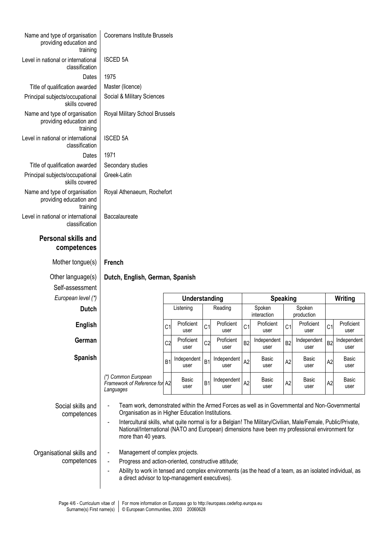| Name and type of organisation<br>providing education and<br>training | <b>Cooremans Institute Brussels</b>                                                                                                                                                                                                                                                                            |                |                     |                |                     |                |                       |                |                      |                |                     |
|----------------------------------------------------------------------|----------------------------------------------------------------------------------------------------------------------------------------------------------------------------------------------------------------------------------------------------------------------------------------------------------------|----------------|---------------------|----------------|---------------------|----------------|-----------------------|----------------|----------------------|----------------|---------------------|
| Level in national or international<br>classification                 | <b>ISCED 5A</b>                                                                                                                                                                                                                                                                                                |                |                     |                |                     |                |                       |                |                      |                |                     |
| Dates                                                                | 1975                                                                                                                                                                                                                                                                                                           |                |                     |                |                     |                |                       |                |                      |                |                     |
| Title of qualification awarded                                       | Master (licence)                                                                                                                                                                                                                                                                                               |                |                     |                |                     |                |                       |                |                      |                |                     |
| Principal subjects/occupational<br>skills covered                    | Social & Military Sciences                                                                                                                                                                                                                                                                                     |                |                     |                |                     |                |                       |                |                      |                |                     |
| Name and type of organisation<br>providing education and<br>training | Royal Military School Brussels                                                                                                                                                                                                                                                                                 |                |                     |                |                     |                |                       |                |                      |                |                     |
| Level in national or international<br>classification                 | <b>ISCED 5A</b>                                                                                                                                                                                                                                                                                                |                |                     |                |                     |                |                       |                |                      |                |                     |
| Dates                                                                | 1971                                                                                                                                                                                                                                                                                                           |                |                     |                |                     |                |                       |                |                      |                |                     |
| Title of qualification awarded                                       | Secondary studies                                                                                                                                                                                                                                                                                              |                |                     |                |                     |                |                       |                |                      |                |                     |
| Principal subjects/occupational<br>skills covered                    | Greek-Latin                                                                                                                                                                                                                                                                                                    |                |                     |                |                     |                |                       |                |                      |                |                     |
| Name and type of organisation<br>providing education and<br>training | Royal Athenaeum, Rochefort                                                                                                                                                                                                                                                                                     |                |                     |                |                     |                |                       |                |                      |                |                     |
| Level in national or international<br>classification                 | Baccalaureate                                                                                                                                                                                                                                                                                                  |                |                     |                |                     |                |                       |                |                      |                |                     |
| <b>Personal skills and</b><br>competences                            |                                                                                                                                                                                                                                                                                                                |                |                     |                |                     |                |                       |                |                      |                |                     |
| Mother tongue(s)                                                     | French                                                                                                                                                                                                                                                                                                         |                |                     |                |                     |                |                       |                |                      |                |                     |
| Other language(s)<br>Self-assessment<br>European level (*)           | Dutch, English, German, Spanish                                                                                                                                                                                                                                                                                |                | Understanding       |                |                     |                | <b>Speaking</b>       |                |                      |                | Writing             |
|                                                                      |                                                                                                                                                                                                                                                                                                                |                |                     |                |                     |                |                       |                |                      |                |                     |
|                                                                      |                                                                                                                                                                                                                                                                                                                |                |                     |                |                     |                |                       |                |                      |                |                     |
| <b>Dutch</b>                                                         |                                                                                                                                                                                                                                                                                                                |                | Listening           |                | Reading             |                | Spoken<br>interaction |                | Spoken<br>production |                |                     |
| <b>English</b>                                                       |                                                                                                                                                                                                                                                                                                                | C <sub>1</sub> | Proficient<br>user  | C <sub>1</sub> | Proficient<br>user  | C <sub>1</sub> | Proficient<br>user    | C <sub>1</sub> | Proficient<br>user   | C <sub>1</sub> | Proficient<br>user  |
| German                                                               |                                                                                                                                                                                                                                                                                                                | C <sub>2</sub> | Proficient<br>user  | C <sub>2</sub> | Proficient<br>user  | B <sub>2</sub> | Independent<br>user   | B <sub>2</sub> | Independent<br>user  | B <sub>2</sub> | Independent<br>user |
| <b>Spanish</b>                                                       |                                                                                                                                                                                                                                                                                                                | B1             | Independent<br>user | B <sub>1</sub> | Independent<br>user | A <sub>2</sub> | Basic<br>user         | A <sub>2</sub> | Basic<br>user        | A2             | Basic<br>user       |
|                                                                      | (*) Common European<br>Framework of Reference for A2<br>Languages                                                                                                                                                                                                                                              |                | Basic<br>user       | B <sub>1</sub> | Independent<br>user | A2             | Basic<br>user         | A <sub>2</sub> | Basic<br>user        | A <sub>2</sub> | Basic<br>user       |
| Social skills and                                                    | Team work, demonstrated within the Armed Forces as well as in Governmental and Non-Governmental                                                                                                                                                                                                                |                |                     |                |                     |                |                       |                |                      |                |                     |
| competences                                                          | Organisation as in Higher Education Institutions.<br>Intercultural skills, what quite normal is for a Belgian! The Military/Civilian, Male/Female, Public/Private,<br>$\blacksquare$<br>National/International (NATO and European) dimensions have been my professional environment for<br>more than 40 years. |                |                     |                |                     |                |                       |                |                      |                |                     |
|                                                                      |                                                                                                                                                                                                                                                                                                                |                |                     |                |                     |                |                       |                |                      |                |                     |
| Organisational skills and<br>competences                             | Management of complex projects.<br>$\blacksquare$                                                                                                                                                                                                                                                              |                |                     |                |                     |                |                       |                |                      |                |                     |
|                                                                      | Progress and action-oriented, constructive attitude;<br>Ability to work in tensed and complex environments (as the head of a team, as an isolated individual, as<br>$\blacksquare$<br>a direct advisor to top-management executives).                                                                          |                |                     |                |                     |                |                       |                |                      |                |                     |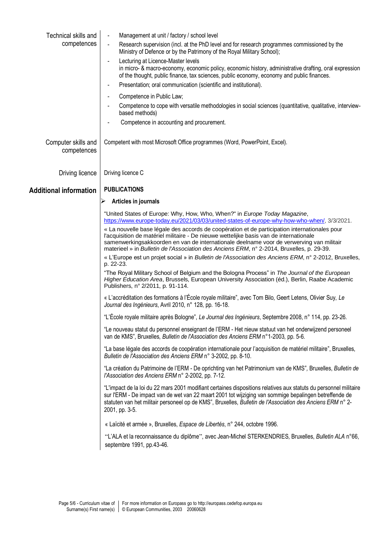| Technical skills and<br>competences | Management at unit / factory / school level<br>Research supervision (incl. at the PhD level and for research programmes commissioned by the<br>$\blacksquare$<br>Ministry of Defence or by the Patrimony of the Royal Military School);                                                                                                                                          |
|-------------------------------------|----------------------------------------------------------------------------------------------------------------------------------------------------------------------------------------------------------------------------------------------------------------------------------------------------------------------------------------------------------------------------------|
|                                     | Lecturing at Licence-Master levels<br>in micro- & macro-economy, economic policy, economic history, administrative drafting, oral expression<br>of the thought, public finance, tax sciences, public economy, economy and public finances.<br>Presentation; oral communication (scientific and institutional).                                                                   |
|                                     | Competence in Public Law;                                                                                                                                                                                                                                                                                                                                                        |
|                                     | Competence to cope with versatile methodologies in social sciences (quantitative, qualitative, interview-<br>based methods)                                                                                                                                                                                                                                                      |
|                                     | Competence in accounting and procurement.                                                                                                                                                                                                                                                                                                                                        |
| Computer skills and<br>competences  | Competent with most Microsoft Office programmes (Word, PowerPoint, Excel).                                                                                                                                                                                                                                                                                                       |
| Driving licence                     | Driving licence C                                                                                                                                                                                                                                                                                                                                                                |
| <b>Additional information</b>       | <b>PUBLICATIONS</b>                                                                                                                                                                                                                                                                                                                                                              |
|                                     | Articles in journals                                                                                                                                                                                                                                                                                                                                                             |
|                                     | "United States of Europe: Why, How, Who, When?" in Europe Today Magazine,<br>https://www.europe-today.eu/2021/03/03/united-states-of-europe-why-how-who-when/, 3/3/2021.                                                                                                                                                                                                         |
|                                     | « La nouvelle base légale des accords de coopération et de participation internationales pour<br>l'acquisition de matériel militaire - De nieuwe wettelijke basis van de internationale<br>samenwerkingsakkoorden en van de internationale deelname voor de verwerving van militair<br>materieel » in Bulletin de l'Association des Anciens ERM, n° 2-2014, Bruxelles, p. 29-39. |
|                                     | « L'Europe est un projet social » in Bulletin de l'Association des Anciens ERM, n° 2-2012, Bruxelles,                                                                                                                                                                                                                                                                            |
|                                     | p. 22-23.<br>"The Royal Military School of Belgium and the Bologna Process" in The Journal of the European<br>Higher Education Area, Brussels, European University Association (éd.), Berlin, Raabe Academic<br>Publishers, nº 2/2011, p. 91-114.                                                                                                                                |
|                                     | « L'accréditation des formations à l'École royale militaire", avec Tom Bilo, Geert Letens, Olivier Suy, Le<br>Journal des Ingénieurs, Avril 2010, n° 128, pp. 16-18.                                                                                                                                                                                                             |
|                                     | "L'École royale militaire après Bologne", Le Journal des Ingénieurs, Septembre 2008, n° 114, pp. 23-26.                                                                                                                                                                                                                                                                          |
|                                     | "Le nouveau statut du personnel enseignant de l'ERM - Het nieuw statuut van het onderwijzend personeel<br>van de KMS", Bruxelles, Bulletin de l'Association des Anciens ERM n°1-2003, pp. 5-6.                                                                                                                                                                                   |
|                                     | "La base légale des accords de coopération internationale pour l'acquisition de matériel militaire", Bruxelles,<br>Bulletin de l'Association des Anciens ERM n° 3-2002, pp. 8-10.                                                                                                                                                                                                |
|                                     | "La création du Patrimoine de l'ERM - De oprichting van het Patrimonium van de KMS", Bruxelles, Bulletin de<br>l'Association des Anciens ERM n° 2-2002, pp. 7-12.                                                                                                                                                                                                                |
|                                     | "L'impact de la loi du 22 mars 2001 modifiant certaines dispositions relatives aux statuts du personnel militaire<br>sur l'ERM - De impact van de wet van 22 maart 2001 tot wijziging van sommige bepalingen betreffende de<br>statuten van het militair personeel op de KMS", Bruxelles, Bulletin de l'Association des Anciens ERM n° 2-<br>2001, pp. 3-5.                      |
|                                     | « Laïcité et armée », Bruxelles, Espace de Libertés, n° 244, octobre 1996.                                                                                                                                                                                                                                                                                                       |
|                                     | "L'ALA et la reconnaissance du diplôme", avec Jean-Michel STERKENDRIES, Bruxelles, Bulletin ALA n°66,<br>septembre 1991, pp.43-46.                                                                                                                                                                                                                                               |
|                                     |                                                                                                                                                                                                                                                                                                                                                                                  |